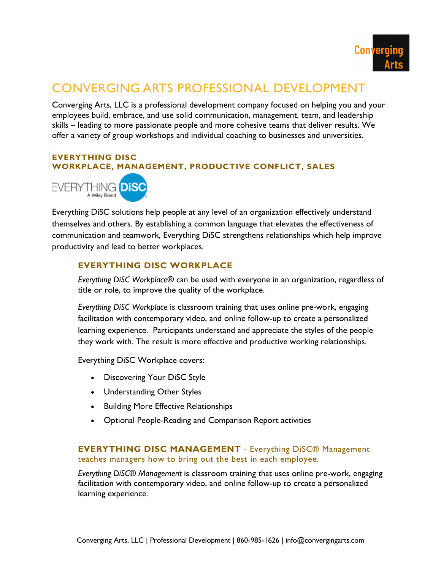

# CONVERGING ARTS PROFESSIONAL DEVELOPMENT

Converging Arts, LLC is a professional development company focused on helping you and your employees build, embrace, and use solid communication, management, team, and leadership skills – leading to more passionate people and more cohesive teams that deliver results. We offer a variety of group workshops and individual coaching to businesses and universities.

# **EVERYTHING DISC WORKPLACE, MANAGEMENT, PRODUCTIVE CONFLICT, SALES**



Everything DiSC solutions help people at any level of an organization effectively understand themselves and others. By establishing a common language that elevates the effectiveness of communication and teamwork, Everything DiSC strengthens relationships which help improve productivity and lead to better workplaces.

# **EVERYTHING DISC WORKPLACE**

*Everything DiSC Workplace®* can be used with everyone in an organization, regardless of title or role, to improve the quality of the workplace.

*Everything DiSC Workplace* is classroom training that uses online pre-work, engaging facilitation with contemporary video, and online follow-up to create a personalized learning experience. Participants understand and appreciate the styles of the people they work with. The result is more effective and productive working relationships.

Everything DiSC Workplace covers:

- Discovering Your DiSC Style
- Understanding Other Styles
- Building More Effective Relationships
- Optional People-Reading and Comparison Report activities

# **EVERYTHING DISC MANAGEMENT** - Everything DiSC® Management teaches managers how to bring out the best in each employee.

*Everything DiSC® Management* is classroom training that uses online pre-work, engaging facilitation with contemporary video, and online follow-up to create a personalized learning experience.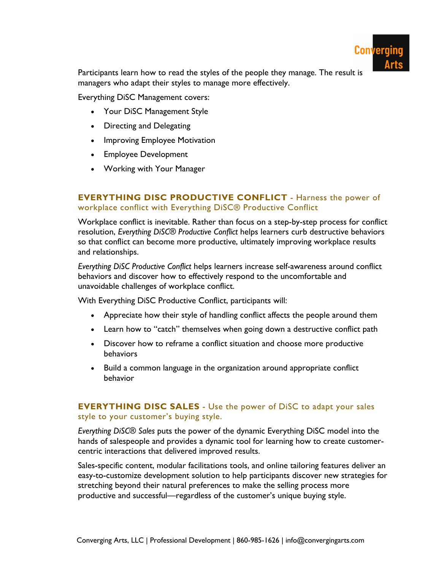

Participants learn how to read the styles of the people they manage. The result is managers who adapt their styles to manage more effectively.

Everything DiSC Management covers:

- Your DiSC Management Style
- Directing and Delegating
- Improving Employee Motivation
- Employee Development
- Working with Your Manager

# **EVERYTHING DISC PRODUCTIVE CONFLICT** - Harness the power of workplace conflict with Everything DiSC® Productive Conflict

Workplace conflict is inevitable. Rather than focus on a step-by-step process for conflict resolution, *Everything DiSC® Productive Conflict* helps learners curb destructive behaviors so that conflict can become more productive, ultimately improving workplace results and relationships.

*Everything DiSC Productive Conflict* helps learners increase self-awareness around conflict behaviors and discover how to effectively respond to the uncomfortable and unavoidable challenges of workplace conflict.

With Everything DiSC Productive Conflict, participants will:

- Appreciate how their style of handling conflict affects the people around them
- Learn how to "catch" themselves when going down a destructive conflict path
- Discover how to reframe a conflict situation and choose more productive behaviors
- Build a common language in the organization around appropriate conflict behavior

#### **EVERYTHING DISC SALES** - Use the power of DiSC to adapt your sales style to your customer's buying style.

*Everything DiSC® Sales* puts the power of the dynamic Everything DiSC model into the hands of salespeople and provides a dynamic tool for learning how to create customercentric interactions that delivered improved results.

Sales-specific content, modular facilitations tools, and online tailoring features deliver an easy-to-customize development solution to help participants discover new strategies for stretching beyond their natural preferences to make the selling process more productive and successful—regardless of the customer's unique buying style.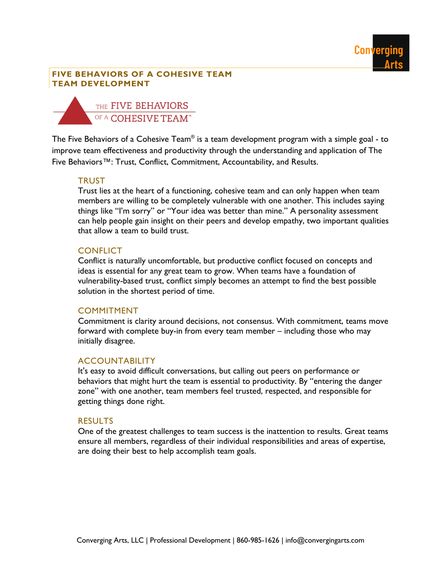

#### **FIVE BEHAVIORS OF A COHESIVE TEAM TEAM DEVELOPMENT**



The Five Behaviors of a Cohesive Team® is a team development program with a simple goal - to improve team effectiveness and productivity through the understanding and application of The Five Behaviors™: Trust, Conflict, Commitment, Accountability, and Results.

#### **TRUST**

Trust lies at the heart of a functioning, cohesive team and can only happen when team members are willing to be completely vulnerable with one another. This includes saying things like "I'm sorry" or "Your idea was better than mine." A personality assessment can help people gain insight on their peers and develop empathy, two important qualities that allow a team to build trust.

#### **CONFLICT**

Conflict is naturally uncomfortable, but productive conflict focused on concepts and ideas is essential for any great team to grow. When teams have a foundation of vulnerability-based trust, conflict simply becomes an attempt to find the best possible solution in the shortest period of time.

#### **COMMITMENT**

Commitment is clarity around decisions, not consensus. With commitment, teams move forward with complete buy-in from every team member – including those who may initially disagree.

#### **ACCOUNTABILITY**

It's easy to avoid difficult conversations, but calling out peers on performance or behaviors that might hurt the team is essential to productivity. By "entering the danger zone" with one another, team members feel trusted, respected, and responsible for getting things done right.

#### RESULTS

One of the greatest challenges to team success is the inattention to results. Great teams ensure all members, regardless of their individual responsibilities and areas of expertise, are doing their best to help accomplish team goals.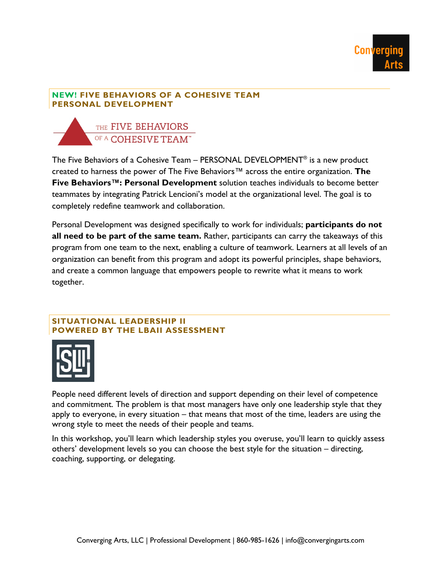

# **NEW! FIVE BEHAVIORS OF A COHESIVE TEAM PERSONAL DEVELOPMENT**



The Five Behaviors of a Cohesive Team – PERSONAL DEVELOPMENT® is a new product created to harness the power of The Five Behaviors™ across the entire organization. **The Five Behaviors™: Personal Development** solution teaches individuals to become better teammates by integrating Patrick Lencioni's model at the organizational level. The goal is to completely redefine teamwork and collaboration.

Personal Development was designed specifically to work for individuals; **participants do not all need to be part of the same team.** Rather, participants can carry the takeaways of this program from one team to the next, enabling a culture of teamwork. Learners at all levels of an organization can benefit from this program and adopt its powerful principles, shape behaviors, and create a common language that empowers people to rewrite what it means to work together.

# **SITUATIONAL LEADERSHIP II POWERED BY THE LBAII ASSESSMENT**



People need different levels of direction and support depending on their level of competence and commitment. The problem is that most managers have only one leadership style that they apply to everyone, in every situation – that means that most of the time, leaders are using the wrong style to meet the needs of their people and teams.

In this workshop, you'll learn which leadership styles you overuse, you'll learn to quickly assess others' development levels so you can choose the best style for the situation – directing, coaching, supporting, or delegating.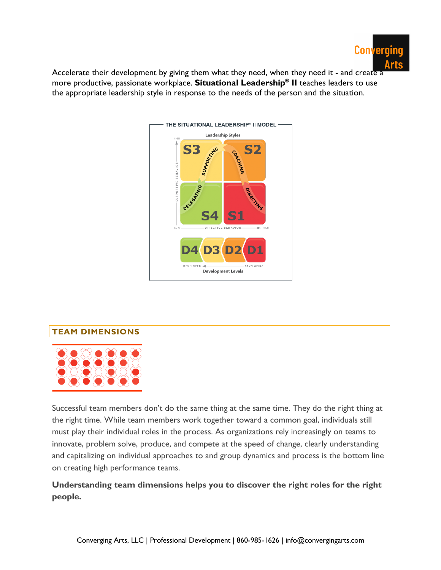

Accelerate their development by giving them what they need, when they need it - and create a more productive, passionate workplace. **Situational Leadership® II** teaches leaders to use the appropriate leadership style in response to the needs of the person and the situation.



# **TEAM DIMENSIONS**



Successful team members don't do the same thing at the same time. They do the right thing at the right time. While team members work together toward a common goal, individuals still must play their individual roles in the process. As organizations rely increasingly on teams to innovate, problem solve, produce, and compete at the speed of change, clearly understanding and capitalizing on individual approaches to and group dynamics and process is the bottom line on creating high performance teams.

**Understanding team dimensions helps you to discover the right roles for the right people.**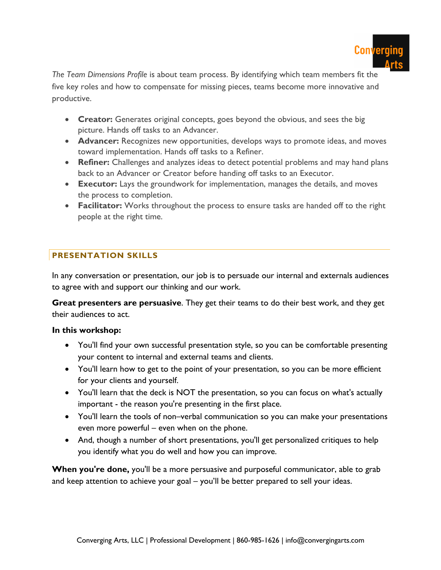

*The Team Dimensions Profile* is about team process. By identifying which team members fit the five key roles and how to compensate for missing pieces, teams become more innovative and productive.

- **Creator:** Generates original concepts, goes beyond the obvious, and sees the big picture. Hands off tasks to an Advancer.
- **Advancer:** Recognizes new opportunities, develops ways to promote ideas, and moves toward implementation. Hands off tasks to a Refiner.
- **Refiner:** Challenges and analyzes ideas to detect potential problems and may hand plans back to an Advancer or Creator before handing off tasks to an Executor.
- **Executor:** Lays the groundwork for implementation, manages the details, and moves the process to completion.
- **Facilitator:** Works throughout the process to ensure tasks are handed off to the right people at the right time.

# **PRESENTATION SKILLS**

In any conversation or presentation, our job is to persuade our internal and externals audiences to agree with and support our thinking and our work.

**Great presenters are persuasive**. They get their teams to do their best work, and they get their audiences to act.

# **In this workshop:**

- You'll find your own successful presentation style, so you can be comfortable presenting your content to internal and external teams and clients.
- You'll learn how to get to the point of your presentation, so you can be more efficient for your clients and yourself.
- You'll learn that the deck is NOT the presentation, so you can focus on what's actually important - the reason you're presenting in the first place.
- You'll learn the tools of non–verbal communication so you can make your presentations even more powerful – even when on the phone.
- And, though a number of short presentations, you'll get personalized critiques to help you identify what you do well and how you can improve.

**When you're done,** you'll be a more persuasive and purposeful communicator, able to grab and keep attention to achieve your goal – you'll be better prepared to sell your ideas.